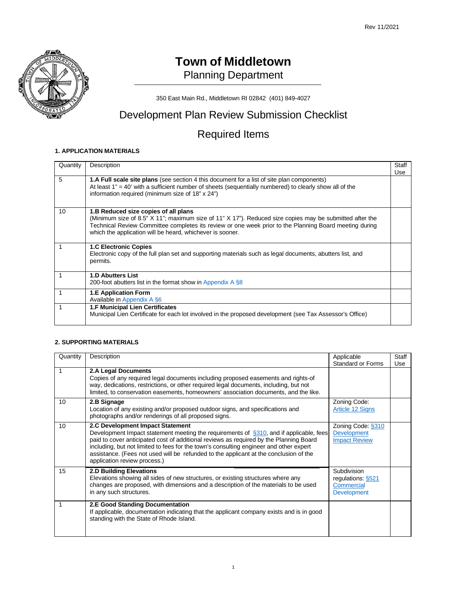

# **Town of Middletown** Planning Department

350 East Main Rd., Middletown RI 02842 (401) 849-4027

# Development Plan Review Submission Checklist

# Required Items

### **1. APPLICATION MATERIALS**

| Quantity | Description                                                                                                                                                                                                                                                                                                            | Staff |
|----------|------------------------------------------------------------------------------------------------------------------------------------------------------------------------------------------------------------------------------------------------------------------------------------------------------------------------|-------|
|          |                                                                                                                                                                                                                                                                                                                        | Use   |
| 5        | <b>1.A Full scale site plans</b> (see section 4 this document for a list of site plan components)<br>At least $1" = 40'$ with a sufficient number of sheets (sequentially numbered) to clearly show all of the<br>information required (minimum size of 18" x 24")                                                     |       |
| 10       | 1.B Reduced size copies of all plans<br>(Minimum size of 8.5" X 11"; maximum size of 11" X 17"). Reduced size copies may be submitted after the<br>Technical Review Committee completes its review or one week prior to the Planning Board meeting during<br>which the application will be heard, whichever is sooner. |       |
|          | <b>1.C Electronic Copies</b><br>Electronic copy of the full plan set and supporting materials such as legal documents, abutters list, and<br>permits.                                                                                                                                                                  |       |
|          | <b>1.D Abutters List</b><br>200-foot abutters list in the format show in Appendix A §8                                                                                                                                                                                                                                 |       |
|          | <b>1.E Application Form</b><br>Available in Appendix A §6                                                                                                                                                                                                                                                              |       |
|          | 1.F Municipal Lien Certificates<br>Municipal Lien Certificate for each lot involved in the proposed development (see Tax Assessor's Office)                                                                                                                                                                            |       |

### **2. SUPPORTING MATERIALS**

| Quantity | Description                                                                                                                                                                                                                                                                                                                                                                                                                                  | Applicable<br><b>Standard or Forms</b>                              | Staff<br>Use |
|----------|----------------------------------------------------------------------------------------------------------------------------------------------------------------------------------------------------------------------------------------------------------------------------------------------------------------------------------------------------------------------------------------------------------------------------------------------|---------------------------------------------------------------------|--------------|
|          | 2.A Legal Documents<br>Copies of any required legal documents including proposed easements and rights-of<br>way, dedications, restrictions, or other required legal documents, including, but not<br>limited, to conservation easements, homeowners' association documents, and the like.                                                                                                                                                    |                                                                     |              |
| 10       | 2.B Signage<br>Location of any existing and/or proposed outdoor signs, and specifications and<br>photographs and/or renderings of all proposed signs.                                                                                                                                                                                                                                                                                        | Zoning Code:<br>Article 12 Signs                                    |              |
| 10       | 2.C Development Impact Statement<br>Development Impact statement meeting the requirements of $\S 310$ , and if applicable, fees<br>paid to cover anticipated cost of additional reviews as required by the Planning Board<br>including, but not limited to fees for the town's consulting engineer and other expert<br>assistance. (Fees not used will be refunded to the applicant at the conclusion of the<br>application review process.) | Zoning Code: §310<br><b>Development</b><br><b>Impact Review</b>     |              |
| 15       | <b>2.D Building Elevations</b><br>Elevations showing all sides of new structures, or existing structures where any<br>changes are proposed, with dimensions and a description of the materials to be used<br>in any such structures.                                                                                                                                                                                                         | Subdivision<br>regulations §521<br>Commercial<br><b>Development</b> |              |
|          | 2.E Good Standing Documentation<br>If applicable, documentation indicating that the applicant company exists and is in good<br>standing with the State of Rhode Island.                                                                                                                                                                                                                                                                      |                                                                     |              |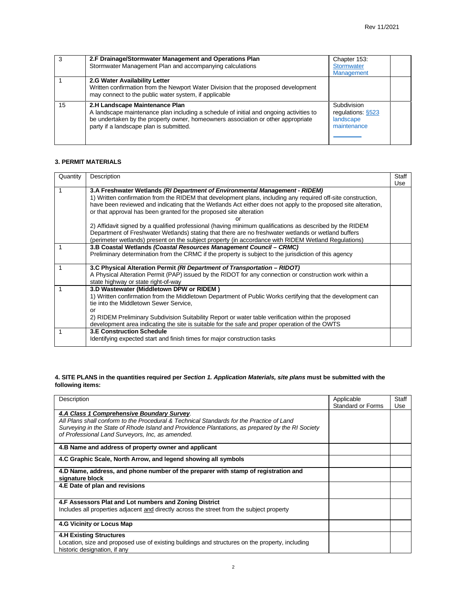| 3  | 2.F Drainage/Stormwater Management and Operations Plan<br>Stormwater Management Plan and accompanying calculations                                                                                                                                      | Chapter 153:<br><b>Stormwater</b><br><b>Management</b>      |  |
|----|---------------------------------------------------------------------------------------------------------------------------------------------------------------------------------------------------------------------------------------------------------|-------------------------------------------------------------|--|
|    | 2.G Water Availability Letter<br>Written confirmation from the Newport Water Division that the proposed development<br>may connect to the public water system, if applicable                                                                            |                                                             |  |
| 15 | 2.H Landscape Maintenance Plan<br>A landscape maintenance plan including a schedule of initial and ongoing activities to<br>be undertaken by the property owner, homeowners association or other appropriate<br>party if a landscape plan is submitted. | Subdivision<br>regulations §523<br>landscape<br>maintenance |  |

#### **3. PERMIT MATERIALS**

| Quantity | Description                                                                                                    | Staff |
|----------|----------------------------------------------------------------------------------------------------------------|-------|
|          |                                                                                                                | Use   |
|          | 3.A Freshwater Wetlands (RI Department of Environmental Management - RIDEM)                                    |       |
|          | 1) Written confirmation from the RIDEM that development plans, including any required off-site construction,   |       |
|          | have been reviewed and indicating that the Wetlands Act either does not apply to the proposed site alteration, |       |
|          | or that approval has been granted for the proposed site alteration                                             |       |
|          |                                                                                                                |       |
|          | 2) Affidavit signed by a qualified professional (having minimum qualifications as described by the RIDEM       |       |
|          | Department of Freshwater Wetlands) stating that there are no freshwater wetlands or wetland buffers            |       |
|          | (perimeter wetlands) present on the subject property (in accordance with RIDEM Wetland Regulations)            |       |
|          | 3.B Coastal Wetlands (Coastal Resources Management Council - CRMC)                                             |       |
|          | Preliminary determination from the CRMC if the property is subject to the jurisdiction of this agency          |       |
|          |                                                                                                                |       |
|          | 3.C Physical Alteration Permit (RI Department of Transportation – RIDOT)                                       |       |
|          | A Physical Alteration Permit (PAP) issued by the RIDOT for any connection or construction work within a        |       |
|          | state highway or state right-of-way                                                                            |       |
|          | 3.D Wastewater (Middletown DPW or RIDEM)                                                                       |       |
|          | 1) Written confirmation from the Middletown Department of Public Works certifying that the development can     |       |
|          | tie into the Middletown Sewer Service,                                                                         |       |
|          | or                                                                                                             |       |
|          | 2) RIDEM Preliminary Subdivision Suitability Report or water table verification within the proposed            |       |
|          | development area indicating the site is suitable for the safe and proper operation of the OWTS                 |       |
| 1        | <b>3.E Construction Schedule</b>                                                                               |       |
|          | Identifying expected start and finish times for major construction tasks                                       |       |
|          |                                                                                                                |       |

#### **4. SITE PLANS in the quantities required per** *Section 1. Application Materials, site plans* **must be submitted with the following items:**

| Description                                                                                                                                                                                                                                | Applicable               | Staff |
|--------------------------------------------------------------------------------------------------------------------------------------------------------------------------------------------------------------------------------------------|--------------------------|-------|
|                                                                                                                                                                                                                                            | <b>Standard or Forms</b> | Use   |
| 4.A Class 1 Comprehensive Boundary Survey.<br>All Plans shall conform to the Procedural & Technical Standards for the Practice of Land<br>Surveying in the State of Rhode Island and Providence Plantations, as prepared by the RI Society |                          |       |
| of Professional Land Surveyors, Inc. as amended.                                                                                                                                                                                           |                          |       |
| 4.B Name and address of property owner and applicant                                                                                                                                                                                       |                          |       |
| 4.C Graphic Scale, North Arrow, and legend showing all symbols                                                                                                                                                                             |                          |       |
| 4.D Name, address, and phone number of the preparer with stamp of registration and<br>signature block                                                                                                                                      |                          |       |
| 4.E Date of plan and revisions                                                                                                                                                                                                             |                          |       |
| 4.F Assessors Plat and Lot numbers and Zoning District                                                                                                                                                                                     |                          |       |
| Includes all properties adjacent and directly across the street from the subject property                                                                                                                                                  |                          |       |
| 4.G Vicinity or Locus Map                                                                                                                                                                                                                  |                          |       |
| <b>4.H Existing Structures</b>                                                                                                                                                                                                             |                          |       |
| Location, size and proposed use of existing buildings and structures on the property, including<br>historic designation, if any                                                                                                            |                          |       |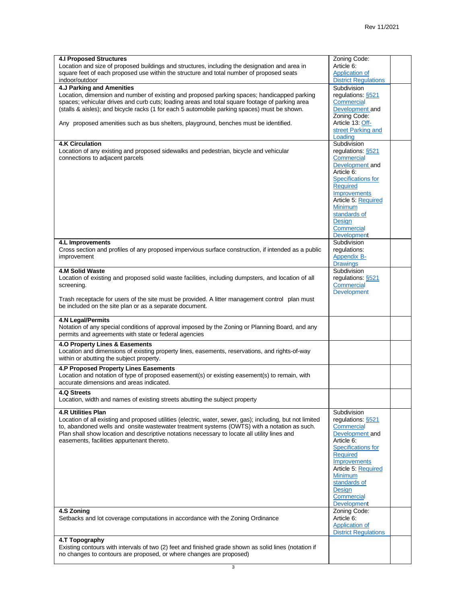| <b>4.I Proposed Structures</b>                                                                            | Zoning Code:                |  |
|-----------------------------------------------------------------------------------------------------------|-----------------------------|--|
| Location and size of proposed buildings and structures, including the designation and area in             | Article 6:                  |  |
| square feet of each proposed use within the structure and total number of proposed seats                  | Application of              |  |
| indoor/outdoor                                                                                            | <b>District Regulations</b> |  |
| 4.J Parking and Amenities                                                                                 | Subdivision                 |  |
| Location, dimension and number of existing and proposed parking spaces; handicapped parking               | regulations: §521           |  |
| spaces; vehicular drives and curb cuts; loading areas and total square footage of parking area            | Commercial                  |  |
| (stalls & aisles); and bicycle racks (1 for each 5 automobile parking spaces) must be shown.              | Development and             |  |
|                                                                                                           | Zoning Code:                |  |
| Any proposed amenities such as bus shelters, playground, benches must be identified.                      | Article 13: Off-            |  |
|                                                                                                           | street Parking and          |  |
|                                                                                                           | Loading                     |  |
| <b>4.K Circulation</b>                                                                                    | Subdivision                 |  |
| Location of any existing and proposed sidewalks and pedestrian, bicycle and vehicular                     | regulations: §521           |  |
| connections to adjacent parcels                                                                           | Commercial                  |  |
|                                                                                                           | Development and             |  |
|                                                                                                           | Article 6:                  |  |
|                                                                                                           | <b>Specifications for</b>   |  |
|                                                                                                           | <b>Required</b>             |  |
|                                                                                                           | <b>Improvements</b>         |  |
|                                                                                                           | Article 5: Required         |  |
|                                                                                                           | Minimum                     |  |
|                                                                                                           | standards of                |  |
|                                                                                                           | Design                      |  |
|                                                                                                           | Commercial                  |  |
|                                                                                                           | Development                 |  |
| 4.L Improvements                                                                                          | Subdivision                 |  |
| Cross section and profiles of any proposed impervious surface construction, if intended as a public       | regulations:                |  |
| improvement                                                                                               | <b>Appendix B-</b>          |  |
|                                                                                                           | <b>Drawings</b>             |  |
| 4.M Solid Waste                                                                                           | Subdivision                 |  |
| Location of existing and proposed solid waste facilities, including dumpsters, and location of all        | regulations: §521           |  |
| screening.                                                                                                | Commercial                  |  |
|                                                                                                           | Development                 |  |
| Trash receptacle for users of the site must be provided. A litter management control plan must            |                             |  |
| be included on the site plan or as a separate document.                                                   |                             |  |
|                                                                                                           |                             |  |
| <b>4.N Legal/Permits</b>                                                                                  |                             |  |
| Notation of any special conditions of approval imposed by the Zoning or Planning Board, and any           |                             |  |
| permits and agreements with state or federal agencies                                                     |                             |  |
|                                                                                                           |                             |  |
| 4.0 Property Lines & Easements                                                                            |                             |  |
| Location and dimensions of existing property lines, easements, reservations, and rights-of-way            |                             |  |
| within or abutting the subject property.                                                                  |                             |  |
| 4.P Proposed Property Lines Easements                                                                     |                             |  |
| Location and notation of type of proposed easement(s) or existing easement(s) to remain, with             |                             |  |
| accurate dimensions and areas indicated.                                                                  |                             |  |
|                                                                                                           |                             |  |
| 4.Q Streets                                                                                               |                             |  |
| Location, width and names of existing streets abutting the subject property                               |                             |  |
| <b>4.R Utilities Plan</b>                                                                                 | Subdivision                 |  |
| Location of all existing and proposed utilities (electric, water, sewer, gas); including, but not limited | regulations: §521           |  |
| to, abandoned wells and onsite wastewater treatment systems (OWTS) with a notation as such.               | Commercial                  |  |
| Plan shall show location and descriptive notations necessary to locate all utility lines and              | Development and             |  |
| easements, facilities appurtenant thereto.                                                                | Article 6:                  |  |
|                                                                                                           | <b>Specifications for</b>   |  |
|                                                                                                           | <b>Required</b>             |  |
|                                                                                                           | Improvements                |  |
|                                                                                                           | Article 5. Required         |  |
|                                                                                                           | <b>Minimum</b>              |  |
|                                                                                                           | standards of                |  |
|                                                                                                           | Design                      |  |
|                                                                                                           | Commercial                  |  |
|                                                                                                           | <b>Development</b>          |  |
| 4.S Zoning                                                                                                |                             |  |
|                                                                                                           | Zoning Code:                |  |
| Setbacks and lot coverage computations in accordance with the Zoning Ordinance                            | Article 6:                  |  |
|                                                                                                           | Application of              |  |
|                                                                                                           | <b>District Regulations</b> |  |
| 4.T Topography                                                                                            |                             |  |
| Existing contours with intervals of two (2) feet and finished grade shown as solid lines (notation if     |                             |  |
| no changes to contours are proposed, or where changes are proposed)                                       |                             |  |
|                                                                                                           |                             |  |